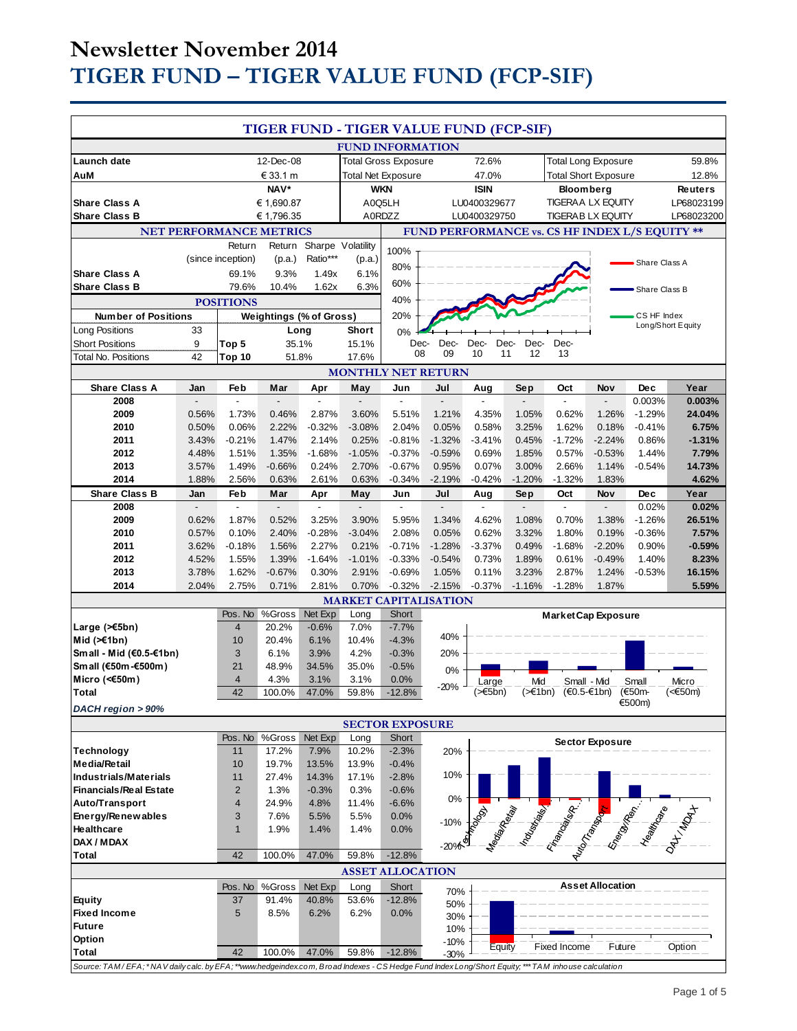# **Newsletter November 2014 TIGER FUND – TIGER VALUE FUND (FCP-SIF)**

| TIGER FUND - TIGER VALUE FUND (FCP-SIF)                                                                                                        |            |                           |                                |                             |                         |                              |                         |                          |                             |                                                |                         |                    |                  |
|------------------------------------------------------------------------------------------------------------------------------------------------|------------|---------------------------|--------------------------------|-----------------------------|-------------------------|------------------------------|-------------------------|--------------------------|-----------------------------|------------------------------------------------|-------------------------|--------------------|------------------|
|                                                                                                                                                |            |                           |                                |                             |                         | <b>FUND INFORMATION</b>      |                         |                          |                             |                                                |                         |                    |                  |
| Launch date                                                                                                                                    | 12-Dec-08  |                           |                                | <b>Total Gross Exposure</b> |                         |                              | 72.6%                   |                          | <b>Total Long Exposure</b>  |                                                |                         | 59.8%              |                  |
| AuM                                                                                                                                            | € 33.1 m   |                           |                                | <b>Total Net Exposure</b>   |                         |                              | 47.0%                   |                          | <b>Total Short Exposure</b> |                                                |                         | 12.8%              |                  |
|                                                                                                                                                | NAV*       |                           |                                | <b>WKN</b>                  |                         |                              | <b>ISIN</b>             |                          | Bloomberg                   |                                                |                         | <b>Reuters</b>     |                  |
| <b>Share Class A</b>                                                                                                                           | € 1,690.87 |                           |                                | A0Q5LH                      |                         | LU0400329677                 |                         | <b>TIGERAA LX EQUITY</b> |                             |                                                | LP68023199              |                    |                  |
| <b>Share Class B</b>                                                                                                                           |            |                           | € 1,796.35                     |                             |                         | A0RDZZ                       |                         | LU0400329750             |                             | <b>TIGERAB LX EQUITY</b>                       |                         |                    | LP68023200       |
|                                                                                                                                                |            |                           | NET PERFORMANCE METRICS        |                             |                         |                              |                         |                          |                             | FUND PERFORMANCE vs. CS HF INDEX L/S EQUITY ** |                         |                    |                  |
|                                                                                                                                                |            | Return                    | Return                         | Sharpe Volatility           |                         | 100%                         |                         |                          |                             |                                                |                         |                    |                  |
|                                                                                                                                                |            | (since inception)         | (p.a.)                         | Ratio***                    | (p.a.)                  | 80%                          |                         |                          |                             |                                                |                         | Share Class A      |                  |
| <b>Share Class A</b>                                                                                                                           |            | 69.1%                     | 9.3%                           | 1.49x                       | 6.1%                    |                              |                         |                          |                             |                                                |                         |                    |                  |
| <b>Share Class B</b><br>79.6%<br>10.4%<br>1.62x                                                                                                |            |                           |                                | 6.3%                        | 60%                     |                              |                         |                          |                             |                                                | Share Class B           |                    |                  |
|                                                                                                                                                |            | <b>POSITIONS</b>          |                                |                             |                         | 40%                          |                         |                          |                             |                                                |                         |                    |                  |
| <b>Number of Positions</b>                                                                                                                     |            |                           | <b>Weightings (% of Gross)</b> |                             |                         | 20%                          |                         |                          |                             |                                                |                         | CS HF Index        |                  |
| <b>Long Positions</b>                                                                                                                          | 33         |                           | Long                           |                             | Short                   | 0%                           |                         |                          |                             |                                                |                         | Long/Short Equity  |                  |
| <b>Short Positions</b>                                                                                                                         | 9          | Top 5                     | 35.1%                          |                             | 15.1%                   | Dec-                         | Dec-                    | Dec-<br>Dec-             | Dec-                        | Dec-                                           |                         |                    |                  |
| <b>Total No. Positions</b>                                                                                                                     | 42         | Top 10                    | 51.8%                          |                             | 17.6%                   | 08                           | 09                      | 10<br>11                 | 12                          | 13                                             |                         |                    |                  |
|                                                                                                                                                |            |                           |                                |                             |                         | <b>MONTHLY NET RETURN</b>    |                         |                          |                             |                                                |                         |                    |                  |
| <b>Share Class A</b>                                                                                                                           | Jan        | Feb                       | Mar                            | Apr                         | May                     | Jun                          | Jul                     | Aug                      | Sep                         | Oct                                            | Nov<br>$\overline{a}$   | <b>Dec</b>         | Year             |
| 2008<br>2009                                                                                                                                   | 0.56%      | $\overline{a}$<br>1.73%   | 0.46%                          | 2.87%                       | $\overline{a}$<br>3.60% | 5.51%                        | $\blacksquare$<br>1.21% | $\overline{a}$<br>4.35%  | 1.05%                       | $\blacksquare$<br>0.62%                        | 1.26%                   | 0.003%<br>$-1.29%$ | 0.003%<br>24.04% |
| 2010                                                                                                                                           | 0.50%      | 0.06%                     | 2.22%                          | $-0.32%$                    | $-3.08%$                | 2.04%                        | 0.05%                   | 0.58%                    | 3.25%                       | 1.62%                                          | 0.18%                   | $-0.41%$           | 6.75%            |
| 2011                                                                                                                                           | 3.43%      | $-0.21%$                  | 1.47%                          | 2.14%                       | 0.25%                   | $-0.81%$                     | $-1.32%$                | $-3.41%$                 | 0.45%                       | $-1.72%$                                       | $-2.24%$                | 0.86%              | $-1.31%$         |
| 2012                                                                                                                                           | 4.48%      | 1.51%                     | 1.35%                          | $-1.68%$                    | $-1.05%$                | $-0.37%$                     | $-0.59%$                | 0.69%                    | 1.85%                       | 0.57%                                          | $-0.53%$                | 1.44%              | 7.79%            |
| 2013                                                                                                                                           | 3.57%      | 1.49%                     | $-0.66%$                       | 0.24%                       | 2.70%                   | $-0.67%$                     | 0.95%                   | 0.07%                    | 3.00%                       | 2.66%                                          | 1.14%                   | $-0.54%$           | 14.73%           |
| 2014                                                                                                                                           | 1.88%      | 2.56%                     | 0.63%                          | 2.61%                       | 0.63%                   | $-0.34%$                     | $-2.19%$                | $-0.42%$                 | $-1.20%$                    | $-1.32%$                                       | 1.83%                   |                    | 4.62%            |
| <b>Share Class B</b>                                                                                                                           | Jan        | Feb                       | Mar                            | Apr                         | May                     | Jun                          | Jul                     | Aug                      | Sep                         | Oct                                            | Nov                     | Dec                | Year             |
| 2008                                                                                                                                           |            | $\overline{a}$            |                                |                             | $\overline{a}$          |                              |                         | $\overline{a}$           |                             | $\overline{a}$                                 | $\overline{a}$          | 0.02%              | 0.02%            |
| 2009                                                                                                                                           | 0.62%      | 1.87%                     | 0.52%                          | 3.25%                       | 3.90%                   | 5.95%                        | 1.34%                   | 4.62%                    | 1.08%                       | 0.70%                                          | 1.38%                   | $-1.26%$           | 26.51%           |
| 2010                                                                                                                                           | 0.57%      | 0.10%                     | 2.40%                          | $-0.28%$                    | $-3.04%$                | 2.08%                        | 0.05%                   | 0.62%                    | 3.32%                       | 1.80%                                          | 0.19%                   | $-0.36%$           | 7.57%            |
| 2011                                                                                                                                           | 3.62%      | $-0.18%$                  | 1.56%                          | 2.27%                       | 0.21%                   | $-0.71%$                     | $-1.28%$                | $-3.37%$                 | 0.49%                       | $-1.68%$                                       | $-2.20%$                | 0.90%              | $-0.59%$         |
| 2012                                                                                                                                           | 4.52%      | 1.55%                     | 1.39%                          | $-1.64%$                    | $-1.01%$                | $-0.33%$                     | $-0.54%$                | 0.73%                    | 1.89%                       | 0.61%                                          | $-0.49%$                | 1.40%              | 8.23%            |
| 2013                                                                                                                                           | 3.78%      | 1.62%                     | $-0.67%$                       | 0.30%                       | 2.91%                   | $-0.69%$                     | 1.05%                   | 0.11%                    | 3.23%                       | 2.87%                                          | 1.24%                   | $-0.53%$           | 16.15%           |
| 2014                                                                                                                                           | 2.04%      | 2.75%                     | 0.71%                          | 2.81%                       | 0.70%                   | $-0.32%$                     | $-2.15%$                | $-0.37%$                 | $-1.16%$                    | $-1.28%$                                       | 1.87%                   |                    | 5.59%            |
|                                                                                                                                                |            |                           |                                |                             |                         | <b>MARKET CAPITALISATION</b> |                         |                          |                             |                                                |                         |                    |                  |
| Large (>€5bn)                                                                                                                                  |            | Pos. No<br>$\overline{4}$ | %Gross<br>20.2%                | Net Exp<br>$-0.6%$          | Long<br>7.0%            | Short<br>$-7.7%$             |                         |                          |                             | <b>Market Cap Exposure</b>                     |                         |                    |                  |
| Mid $($ $\leq$ 1bn)                                                                                                                            |            | 10                        | 20.4%                          | 6.1%                        | 10.4%                   | $-4.3%$                      | 40%                     |                          |                             |                                                |                         |                    |                  |
| Small - Mid (€0.5-€1bn)                                                                                                                        |            | 3                         | 6.1%                           | 3.9%                        | 4.2%                    | $-0.3%$                      | 20%                     |                          |                             |                                                |                         |                    |                  |
| Small (€50m-€500m)                                                                                                                             |            | 21                        | 48.9%                          | 34.5%                       | 35.0%                   | $-0.5%$                      | 0%                      |                          |                             |                                                |                         |                    |                  |
| Micro (< $60$ m)                                                                                                                               |            | $\overline{\mathbf{4}}$   | 4.3%                           | 3.1%                        | 3.1%                    | 0.0%                         |                         | Large                    | Mid                         | Small - Mid                                    |                         | Small              | Micro            |
| <b>Total</b>                                                                                                                                   |            | 42                        | 100.0%                         | 47.0%                       | 59.8%                   | $-12.8%$                     | $-20%$                  | (≫€5bn)                  | (>€1bn)                     | $(€0.5-€1bn)$                                  |                         | (€50m-             | (<€50m)          |
| DACH region > 90%                                                                                                                              |            |                           |                                |                             |                         |                              |                         |                          |                             |                                                |                         | €500m)             |                  |
|                                                                                                                                                |            |                           |                                |                             |                         | <b>SECTOR EXPOSURE</b>       |                         |                          |                             |                                                |                         |                    |                  |
|                                                                                                                                                |            |                           | Pos. No %Gross                 | Net Exp                     | Long                    | Short                        |                         |                          |                             |                                                | <b>Sector Exposure</b>  |                    |                  |
| <b>Technology</b>                                                                                                                              |            | 11                        | 17.2%                          | 7.9%                        | 10.2%                   | $-2.3%$                      | 20%                     |                          |                             |                                                |                         |                    |                  |
| <b>Media/Retail</b><br>Industrials/Materials                                                                                                   |            | 10                        | 19.7%                          | 13.5%                       | 13.9%                   | $-0.4%$                      | 10%                     |                          |                             |                                                |                         |                    |                  |
| <b>Financials/Real Estate</b>                                                                                                                  |            | 11<br>$\overline{2}$      | 27.4%<br>1.3%                  | 14.3%<br>$-0.3%$            | 17.1%<br>0.3%           | $-2.8%$<br>$-0.6%$           |                         |                          |                             |                                                |                         |                    |                  |
| Auto/Transport                                                                                                                                 |            | 4                         | 24.9%                          | 4.8%                        | 11.4%                   | $-6.6%$                      | 0%                      |                          |                             |                                                |                         |                    |                  |
| Energy/Renewables                                                                                                                              |            | 3                         | 7.6%                           | 5.5%                        | 5.5%                    | 0.0%                         |                         |                          |                             |                                                |                         |                    |                  |
| Healthcare                                                                                                                                     |            | $\mathbf{1}$              | 1.9%                           | 1.4%                        | 1.4%                    | 0.0%                         | $-10%$                  |                          |                             |                                                |                         |                    |                  |
| DAX / MDAX                                                                                                                                     |            |                           |                                |                             |                         |                              | $-20%$                  |                          |                             | <b>CONTRACTOR CONTRACTOR</b>                   |                         |                    |                  |
| Total                                                                                                                                          |            | 42                        | 100.0%                         | 47.0%                       | 59.8%                   | $-12.8%$                     |                         |                          |                             |                                                |                         |                    |                  |
|                                                                                                                                                |            |                           |                                |                             |                         | <b>ASSET ALLOCATION</b>      |                         |                          |                             |                                                |                         |                    |                  |
|                                                                                                                                                |            |                           | Pos. No %Gross                 | Net Exp                     | Long                    | Short                        | 70%                     |                          |                             |                                                | <b>Asset Allocation</b> |                    |                  |
| Equity                                                                                                                                         |            | 37                        | 91.4%                          | 40.8%                       | 53.6%                   | $-12.8%$                     | 50%                     |                          |                             |                                                |                         |                    |                  |
| <b>Fixed Income</b>                                                                                                                            |            | 5                         | 8.5%                           | 6.2%                        | 6.2%                    | 0.0%                         | 30%                     |                          |                             |                                                |                         |                    |                  |
| <b>Future</b>                                                                                                                                  |            |                           |                                |                             |                         |                              | 10%                     |                          |                             |                                                |                         |                    |                  |
| Option                                                                                                                                         |            |                           |                                |                             |                         |                              | $-10%$                  | Equity                   |                             | Fixed Income                                   | Future                  |                    | Option           |
| <b>Total</b>                                                                                                                                   |            | 42                        | 100.0%                         | 47.0%                       | 59.8%                   | $-12.8%$                     | $-30%$                  |                          |                             |                                                |                         |                    |                  |
| Source: TAM/EFA;*NAV daily calc. by EFA;**www.hedgeindex.com, Broad Indexes - CS Hedge Fund Index Long/Short Equity;***TAM inhouse calculation |            |                           |                                |                             |                         |                              |                         |                          |                             |                                                |                         |                    |                  |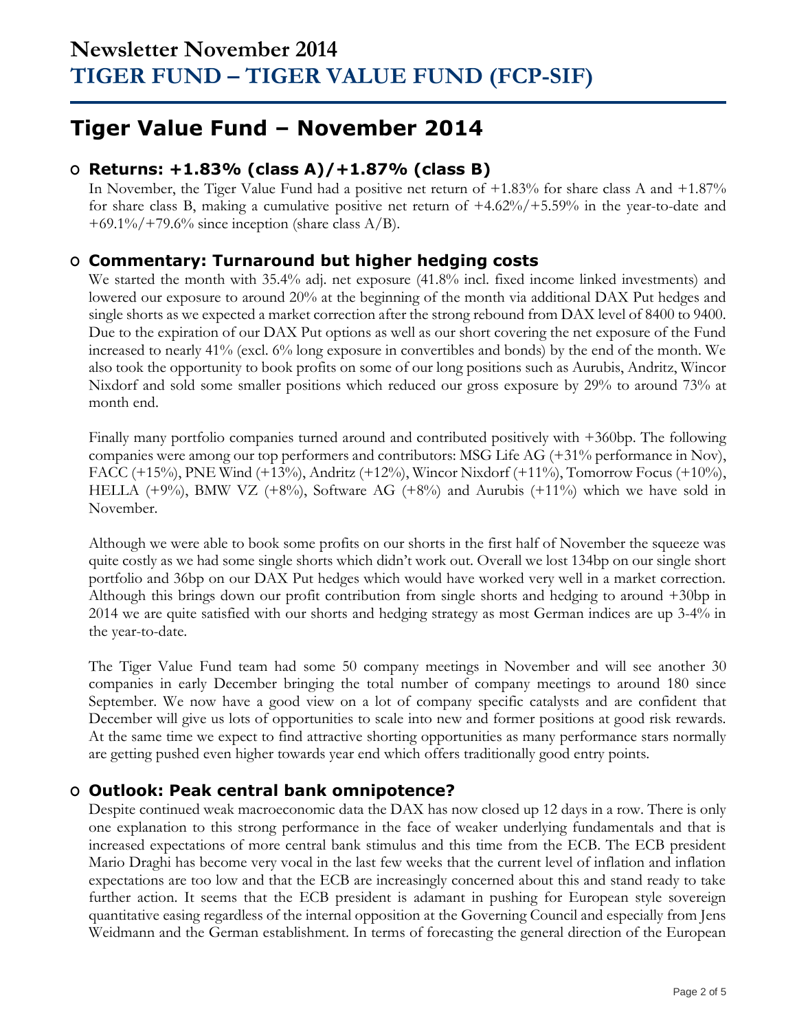## **Tiger Value Fund – November 2014**

### **O Returns: +1.83% (class A)/+1.87% (class B)**

In November, the Tiger Value Fund had a positive net return of +1.83% for share class A and +1.87% for share class B, making a cumulative positive net return of +4.62%/+5.59% in the year-to-date and +69.1%/+79.6% since inception (share class  $A/B$ ).

### **O Commentary: Turnaround but higher hedging costs**

We started the month with 35.4% adj. net exposure (41.8% incl. fixed income linked investments) and lowered our exposure to around 20% at the beginning of the month via additional DAX Put hedges and single shorts as we expected a market correction after the strong rebound from DAX level of 8400 to 9400. Due to the expiration of our DAX Put options as well as our short covering the net exposure of the Fund increased to nearly 41% (excl. 6% long exposure in convertibles and bonds) by the end of the month. We also took the opportunity to book profits on some of our long positions such as Aurubis, Andritz, Wincor Nixdorf and sold some smaller positions which reduced our gross exposure by 29% to around 73% at month end.

Finally many portfolio companies turned around and contributed positively with +360bp. The following companies were among our top performers and contributors: MSG Life AG (+31% performance in Nov), FACC (+15%), PNE Wind (+13%), Andritz (+12%), Wincor Nixdorf (+11%), Tomorrow Focus (+10%), HELLA  $(+9\%)$ , BMW VZ  $(+8\%)$ , Software AG  $(+8\%)$  and Aurubis  $(+11\%)$  which we have sold in November.

Although we were able to book some profits on our shorts in the first half of November the squeeze was quite costly as we had some single shorts which didn't work out. Overall we lost 134bp on our single short portfolio and 36bp on our DAX Put hedges which would have worked very well in a market correction. Although this brings down our profit contribution from single shorts and hedging to around +30bp in 2014 we are quite satisfied with our shorts and hedging strategy as most German indices are up 3-4% in the year-to-date.

The Tiger Value Fund team had some 50 company meetings in November and will see another 30 companies in early December bringing the total number of company meetings to around 180 since September. We now have a good view on a lot of company specific catalysts and are confident that December will give us lots of opportunities to scale into new and former positions at good risk rewards. At the same time we expect to find attractive shorting opportunities as many performance stars normally are getting pushed even higher towards year end which offers traditionally good entry points.

## **O Outlook: Peak central bank omnipotence?**

Despite continued weak macroeconomic data the DAX has now closed up 12 days in a row. There is only one explanation to this strong performance in the face of weaker underlying fundamentals and that is increased expectations of more central bank stimulus and this time from the ECB. The ECB president Mario Draghi has become very vocal in the last few weeks that the current level of inflation and inflation expectations are too low and that the ECB are increasingly concerned about this and stand ready to take further action. It seems that the ECB president is adamant in pushing for European style sovereign quantitative easing regardless of the internal opposition at the Governing Council and especially from Jens Weidmann and the German establishment. In terms of forecasting the general direction of the European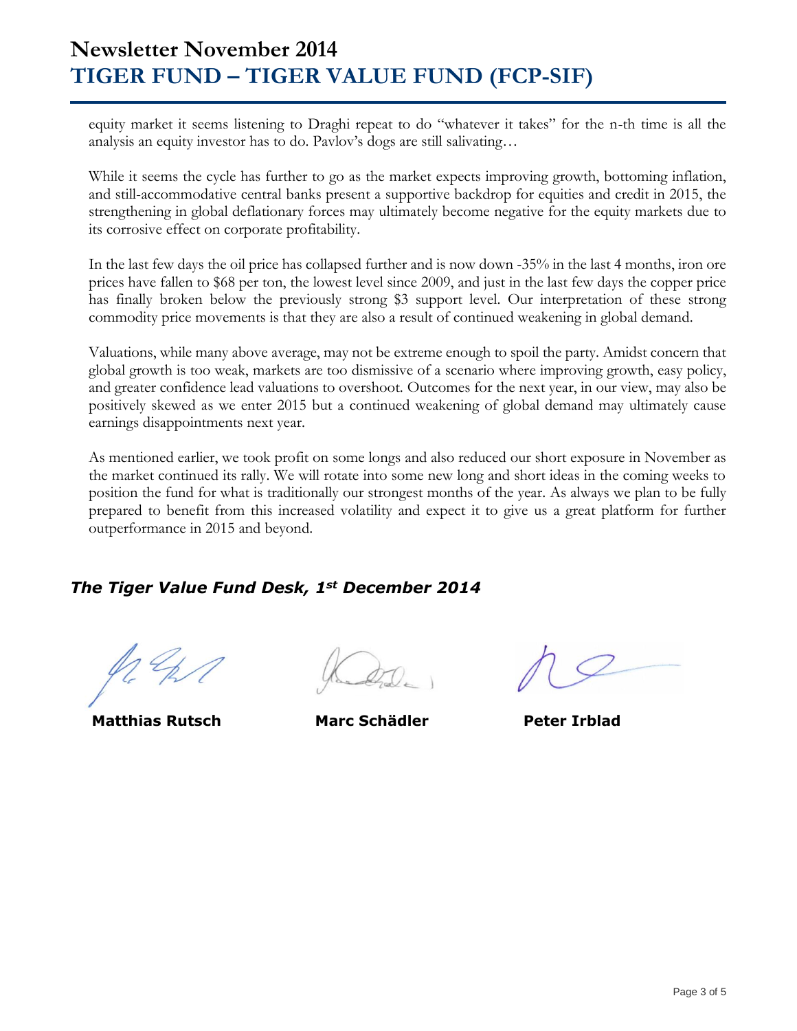## **Newsletter November 2014 TIGER FUND – TIGER VALUE FUND (FCP-SIF)**

equity market it seems listening to Draghi repeat to do "whatever it takes" for the n-th time is all the analysis an equity investor has to do. Pavlov's dogs are still salivating…

While it seems the cycle has further to go as the market expects improving growth, bottoming inflation, and still-accommodative central banks present a supportive backdrop for equities and credit in 2015, the strengthening in global deflationary forces may ultimately become negative for the equity markets due to its corrosive effect on corporate profitability.

In the last few days the oil price has collapsed further and is now down -35% in the last 4 months, iron ore prices have fallen to \$68 per ton, the lowest level since 2009, and just in the last few days the copper price has finally broken below the previously strong \$3 support level. Our interpretation of these strong commodity price movements is that they are also a result of continued weakening in global demand.

Valuations, while many above average, may not be extreme enough to spoil the party. Amidst concern that global growth is too weak, markets are too dismissive of a scenario where improving growth, easy policy, and greater confidence lead valuations to overshoot. Outcomes for the next year, in our view, may also be positively skewed as we enter 2015 but a continued weakening of global demand may ultimately cause earnings disappointments next year.

As mentioned earlier, we took profit on some longs and also reduced our short exposure in November as the market continued its rally. We will rotate into some new long and short ideas in the coming weeks to position the fund for what is traditionally our strongest months of the year. As always we plan to be fully prepared to benefit from this increased volatility and expect it to give us a great platform for further outperformance in 2015 and beyond.

### *The Tiger Value Fund Desk, 1st December 2014*

 **Matthias Rutsch Marc Schädler Peter Irblad**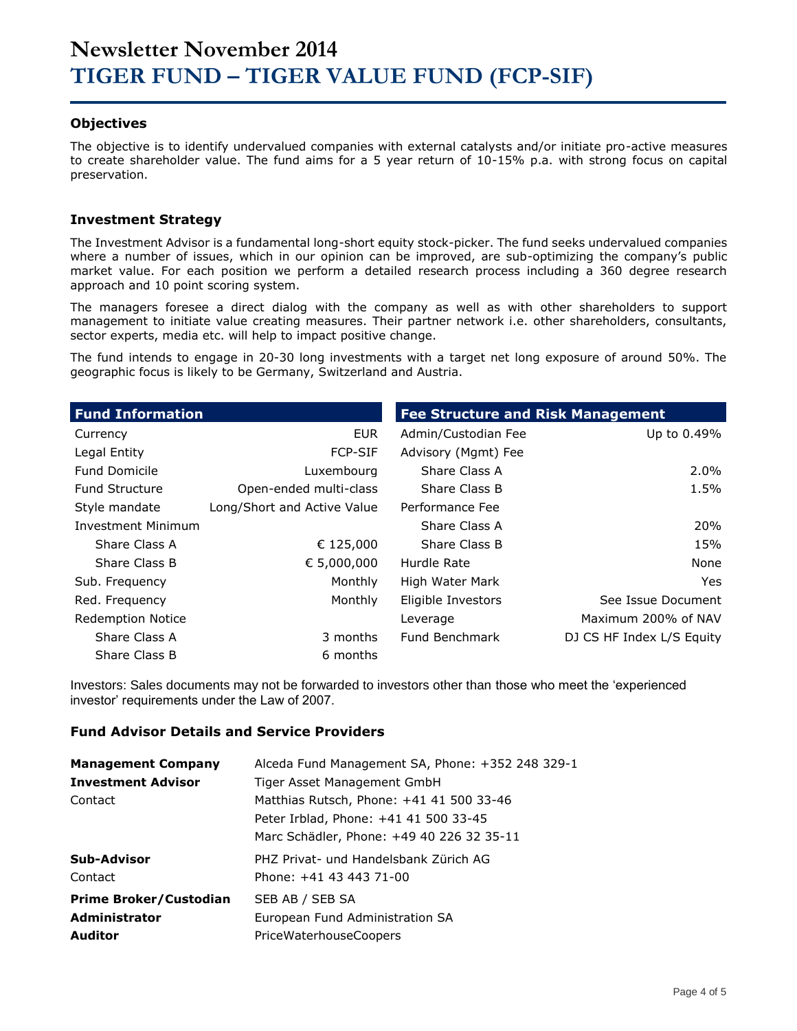#### **Objectives**

The objective is to identify undervalued companies with external catalysts and/or initiate pro-active measures to create shareholder value. The fund aims for a 5 year return of 10-15% p.a. with strong focus on capital preservation.

#### **Investment Strategy**

The Investment Advisor is a fundamental long-short equity stock-picker. The fund seeks undervalued companies where a number of issues, which in our opinion can be improved, are sub-optimizing the company's public market value. For each position we perform a detailed research process including a 360 degree research approach and 10 point scoring system.

The managers foresee a direct dialog with the company as well as with other shareholders to support management to initiate value creating measures. Their partner network i.e. other shareholders, consultants, sector experts, media etc. will help to impact positive change.

The fund intends to engage in 20-30 long investments with a target net long exposure of around 50%. The geographic focus is likely to be Germany, Switzerland and Austria.

| <b>Fund Information</b>   |                             | <b>Fee Structure and Risk Management</b> |                           |  |  |  |
|---------------------------|-----------------------------|------------------------------------------|---------------------------|--|--|--|
| Currency                  | <b>EUR</b>                  | Admin/Custodian Fee                      | Up to 0.49%               |  |  |  |
| Legal Entity              | <b>FCP-SIF</b>              | Advisory (Mgmt) Fee                      |                           |  |  |  |
| <b>Fund Domicile</b>      | Luxembourg                  | Share Class A                            | $2.0\%$                   |  |  |  |
| <b>Fund Structure</b>     | Open-ended multi-class      | Share Class B                            | 1.5%                      |  |  |  |
| Style mandate             | Long/Short and Active Value | Performance Fee                          |                           |  |  |  |
| <b>Investment Minimum</b> |                             | Share Class A                            | <b>20%</b>                |  |  |  |
| Share Class A             | € 125,000                   | Share Class B                            | 15%                       |  |  |  |
| Share Class B             | € 5,000,000                 | Hurdle Rate                              | None                      |  |  |  |
| Sub. Frequency            | Monthly                     | High Water Mark                          | Yes.                      |  |  |  |
| Red. Frequency            | Monthly                     | Eligible Investors                       | See Issue Document        |  |  |  |
| <b>Redemption Notice</b>  |                             | Leverage                                 | Maximum 200% of NAV       |  |  |  |
| Share Class A             | 3 months                    | Fund Benchmark                           | DJ CS HF Index L/S Equity |  |  |  |
| Share Class B             | 6 months                    |                                          |                           |  |  |  |

Investors: Sales documents may not be forwarded to investors other than those who meet the 'experienced investor' requirements under the Law of 2007.

#### **Fund Advisor Details and Service Providers**

| <b>Management Company</b>     | Alceda Fund Management SA, Phone: +352 248 329-1 |
|-------------------------------|--------------------------------------------------|
| <b>Investment Advisor</b>     | Tiger Asset Management GmbH                      |
| Contact                       | Matthias Rutsch, Phone: +41 41 500 33-46         |
|                               | Peter Irblad, Phone: +41 41 500 33-45            |
|                               | Marc Schädler, Phone: +49 40 226 32 35-11        |
| Sub-Advisor                   | PHZ Privat- und Handelsbank Zürich AG            |
| Contact                       | Phone: +41 43 443 71-00                          |
| <b>Prime Broker/Custodian</b> | SEB AB / SEB SA                                  |
| <b>Administrator</b>          | European Fund Administration SA                  |
| <b>Auditor</b>                | <b>PriceWaterhouseCoopers</b>                    |